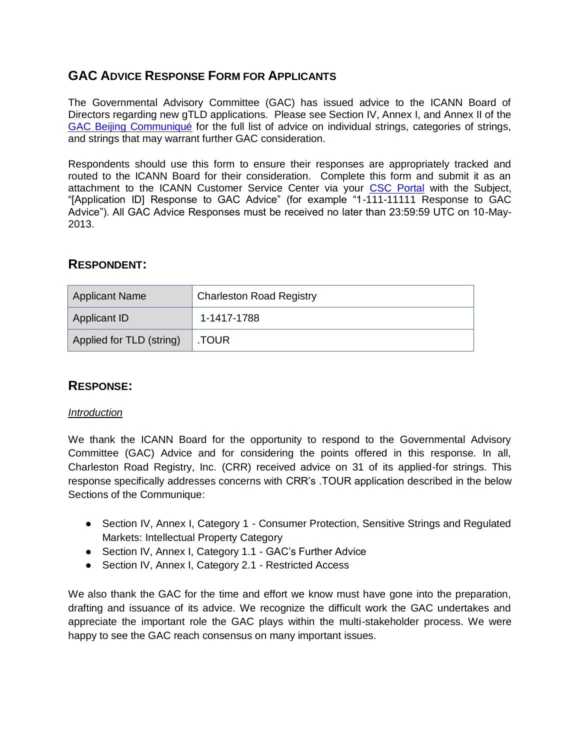# **GAC ADVICE RESPONSE FORM FOR APPLICANTS**

The Governmental Advisory Committee (GAC) has issued advice to the ICANN Board of Directors regarding new gTLD applications. Please see Section IV, Annex I, and Annex II of the [GAC Beijing Communiqué](http://www.icann.org/en/news/correspondence/gac-to-board-18apr13-en.pdf) for the full list of advice on individual strings, categories of strings, and strings that may warrant further GAC consideration.

Respondents should use this form to ensure their responses are appropriately tracked and routed to the ICANN Board for their consideration. Complete this form and submit it as an attachment to the ICANN Customer Service Center via your [CSC Portal](https://myicann.secure.force.com/) with the Subject, "[Application ID] Response to GAC Advice" (for example "1-111-11111 Response to GAC Advice"). All GAC Advice Responses must be received no later than 23:59:59 UTC on 10-May-2013.

## **RESPONDENT:**

| <b>Applicant Name</b>    | <b>Charleston Road Registry</b> |  |
|--------------------------|---------------------------------|--|
| Applicant ID             | 1-1417-1788                     |  |
| Applied for TLD (string) | .TOUR                           |  |

# **RESPONSE:**

#### *Introduction*

We thank the ICANN Board for the opportunity to respond to the Governmental Advisory Committee (GAC) Advice and for considering the points offered in this response. In all, Charleston Road Registry, Inc. (CRR) received advice on 31 of its applied-for strings. This response specifically addresses concerns with CRR's .TOUR application described in the below Sections of the Communique:

- Section IV, Annex I, Category 1 Consumer Protection, Sensitive Strings and Regulated Markets: Intellectual Property Category
- Section IV, Annex I, Category 1.1 GAC's Further Advice
- Section IV, Annex I, Category 2.1 Restricted Access

We also thank the GAC for the time and effort we know must have gone into the preparation, drafting and issuance of its advice. We recognize the difficult work the GAC undertakes and appreciate the important role the GAC plays within the multi-stakeholder process. We were happy to see the GAC reach consensus on many important issues.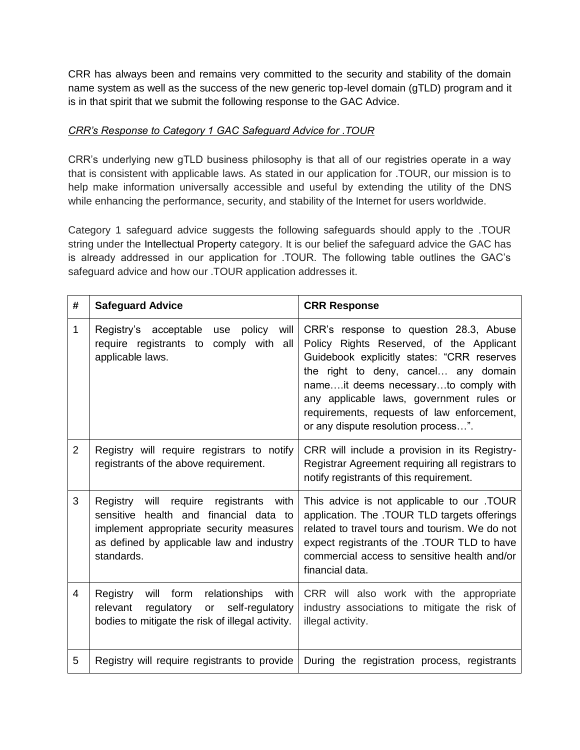CRR has always been and remains very committed to the security and stability of the domain name system as well as the success of the new generic top-level domain (gTLD) program and it is in that spirit that we submit the following response to the GAC Advice.

### *CRR's Response to Category 1 GAC Safeguard Advice for .TOUR*

CRR's underlying new gTLD business philosophy is that all of our registries operate in a way that is consistent with applicable laws. As stated in our application for .TOUR, our mission is to help make information universally accessible and useful by extending the utility of the DNS while enhancing the performance, security, and stability of the Internet for users worldwide.

Category 1 safeguard advice suggests the following safeguards should apply to the .TOUR string under the Intellectual Property category. It is our belief the safeguard advice the GAC has is already addressed in our application for .TOUR. The following table outlines the GAC's safeguard advice and how our .TOUR application addresses it.

| #              | <b>Safeguard Advice</b>                                                                                                                                                                | <b>CRR Response</b>                                                                                                                                                                                                                                                                                                                               |
|----------------|----------------------------------------------------------------------------------------------------------------------------------------------------------------------------------------|---------------------------------------------------------------------------------------------------------------------------------------------------------------------------------------------------------------------------------------------------------------------------------------------------------------------------------------------------|
| 1              | Registry's acceptable<br>policy<br>will<br>use<br>require registrants to<br>comply with all<br>applicable laws.                                                                        | CRR's response to question 28.3, Abuse<br>Policy Rights Reserved, of the Applicant<br>Guidebook explicitly states: "CRR reserves<br>the right to deny, cancel any domain<br>nameit deems necessaryto comply with<br>any applicable laws, government rules or<br>requirements, requests of law enforcement,<br>or any dispute resolution process". |
| $\overline{2}$ | Registry will require registrars to notify<br>registrants of the above requirement.                                                                                                    | CRR will include a provision in its Registry-<br>Registrar Agreement requiring all registrars to<br>notify registrants of this requirement.                                                                                                                                                                                                       |
| 3              | Registry will require registrants with<br>sensitive health and financial data to<br>implement appropriate security measures<br>as defined by applicable law and industry<br>standards. | This advice is not applicable to our .TOUR<br>application. The .TOUR TLD targets offerings<br>related to travel tours and tourism. We do not<br>expect registrants of the .TOUR TLD to have<br>commercial access to sensitive health and/or<br>financial data.                                                                                    |
| 4              | Registry<br>will form<br>relationships<br>with<br>self-regulatory<br>regulatory<br>relevant<br>or<br>bodies to mitigate the risk of illegal activity.                                  | CRR will also work with the appropriate<br>industry associations to mitigate the risk of<br>illegal activity.                                                                                                                                                                                                                                     |
| 5              | Registry will require registrants to provide                                                                                                                                           | During the registration process, registrants                                                                                                                                                                                                                                                                                                      |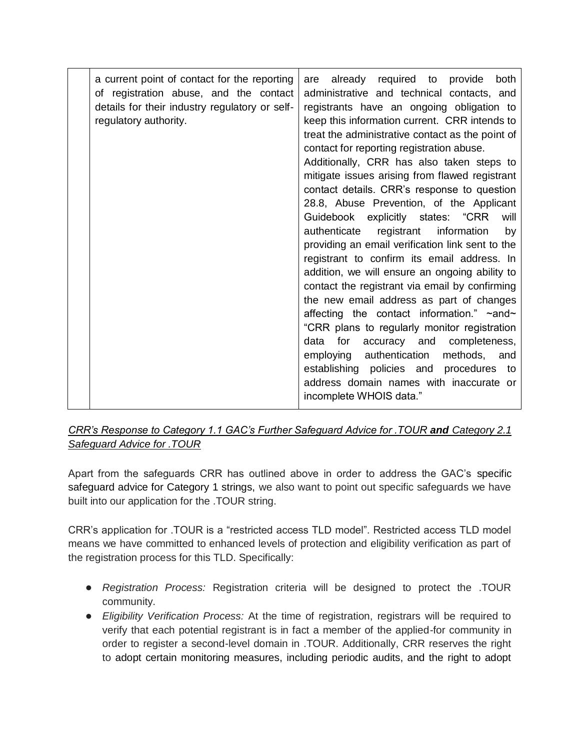| a current point of contact for the reporting<br>of registration abuse, and the contact<br>details for their industry regulatory or self-<br>regulatory authority. | already required to<br>both<br>provide<br>are<br>administrative and technical contacts, and<br>registrants have an ongoing obligation to<br>keep this information current. CRR intends to<br>treat the administrative contact as the point of<br>contact for reporting registration abuse.<br>Additionally, CRR has also taken steps to<br>mitigate issues arising from flawed registrant<br>contact details. CRR's response to question<br>28.8, Abuse Prevention, of the Applicant<br>Guidebook explicitly states: "CRR<br>will<br>registrant information<br>authenticate<br>by<br>providing an email verification link sent to the<br>registrant to confirm its email address. In<br>addition, we will ensure an ongoing ability to<br>contact the registrant via email by confirming<br>the new email address as part of changes<br>affecting the contact information." ~and~<br>"CRR plans to regularly monitor registration<br>for<br>accuracy and completeness,<br>data<br>employing authentication<br>methods, and<br>establishing policies and procedures to<br>address domain names with inaccurate or<br>incomplete WHOIS data." |
|-------------------------------------------------------------------------------------------------------------------------------------------------------------------|---------------------------------------------------------------------------------------------------------------------------------------------------------------------------------------------------------------------------------------------------------------------------------------------------------------------------------------------------------------------------------------------------------------------------------------------------------------------------------------------------------------------------------------------------------------------------------------------------------------------------------------------------------------------------------------------------------------------------------------------------------------------------------------------------------------------------------------------------------------------------------------------------------------------------------------------------------------------------------------------------------------------------------------------------------------------------------------------------------------------------------------------|
|-------------------------------------------------------------------------------------------------------------------------------------------------------------------|---------------------------------------------------------------------------------------------------------------------------------------------------------------------------------------------------------------------------------------------------------------------------------------------------------------------------------------------------------------------------------------------------------------------------------------------------------------------------------------------------------------------------------------------------------------------------------------------------------------------------------------------------------------------------------------------------------------------------------------------------------------------------------------------------------------------------------------------------------------------------------------------------------------------------------------------------------------------------------------------------------------------------------------------------------------------------------------------------------------------------------------------|

## *CRR's Response to Category 1.1 GAC's Further Safeguard Advice for .TOUR and Category 2.1 Safeguard Advice for .TOUR*

Apart from the safeguards CRR has outlined above in order to address the GAC's specific safeguard advice for Category 1 strings, we also want to point out specific safeguards we have built into our application for the .TOUR string.

CRR's application for .TOUR is a "restricted access TLD model". Restricted access TLD model means we have committed to enhanced levels of protection and eligibility verification as part of the registration process for this TLD. Specifically:

- *Registration Process:* Registration criteria will be designed to protect the .TOUR community.
- *Eligibility Verification Process:* At the time of registration, registrars will be required to verify that each potential registrant is in fact a member of the applied-for community in order to register a second-level domain in .TOUR. Additionally, CRR reserves the right to adopt certain monitoring measures, including periodic audits, and the right to adopt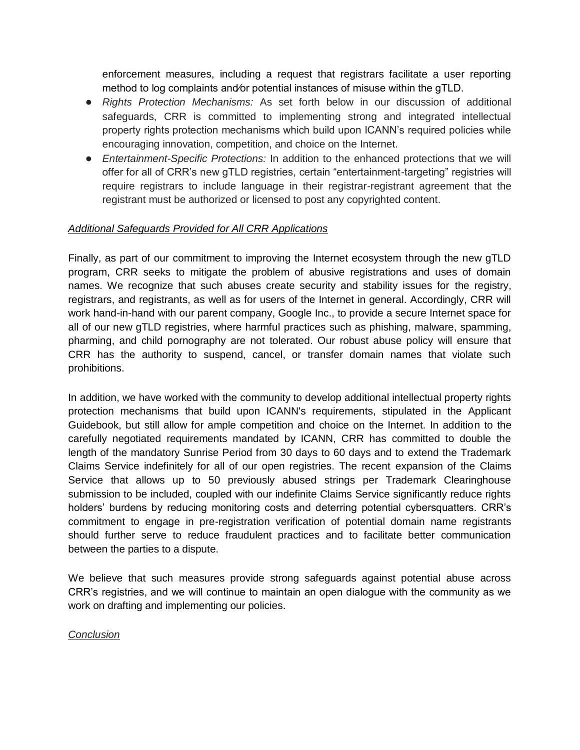enforcement measures, including a request that registrars facilitate a user reporting method to log complaints and⁄or potential instances of misuse within the gTLD.

- *Rights Protection Mechanisms:* As set forth below in our discussion of additional safeguards, CRR is committed to implementing strong and integrated intellectual property rights protection mechanisms which build upon ICANN's required policies while encouraging innovation, competition, and choice on the Internet.
- *Entertainment-Specific Protections:* In addition to the enhanced protections that we will offer for all of CRR's new gTLD registries, certain "entertainment-targeting" registries will require registrars to include language in their registrar-registrant agreement that the registrant must be authorized or licensed to post any copyrighted content.

## *Additional Safeguards Provided for All CRR Applications*

Finally, as part of our commitment to improving the Internet ecosystem through the new gTLD program, CRR seeks to mitigate the problem of abusive registrations and uses of domain names. We recognize that such abuses create security and stability issues for the registry, registrars, and registrants, as well as for users of the Internet in general. Accordingly, CRR will work hand-in-hand with our parent company, Google Inc., to provide a secure Internet space for all of our new gTLD registries, where harmful practices such as phishing, malware, spamming, pharming, and child pornography are not tolerated. Our robust abuse policy will ensure that CRR has the authority to suspend, cancel, or transfer domain names that violate such prohibitions.

In addition, we have worked with the community to develop additional intellectual property rights protection mechanisms that build upon ICANN's requirements, stipulated in the Applicant Guidebook, but still allow for ample competition and choice on the Internet. In addition to the carefully negotiated requirements mandated by ICANN, CRR has committed to double the length of the mandatory Sunrise Period from 30 days to 60 days and to extend the Trademark Claims Service indefinitely for all of our open registries. The recent expansion of the Claims Service that allows up to 50 previously abused strings per Trademark Clearinghouse submission to be included, coupled with our indefinite Claims Service significantly reduce rights holders' burdens by reducing monitoring costs and deterring potential cybersquatters. CRR's commitment to engage in pre-registration verification of potential domain name registrants should further serve to reduce fraudulent practices and to facilitate better communication between the parties to a dispute.

We believe that such measures provide strong safeguards against potential abuse across CRR's registries, and we will continue to maintain an open dialogue with the community as we work on drafting and implementing our policies.

*Conclusion*